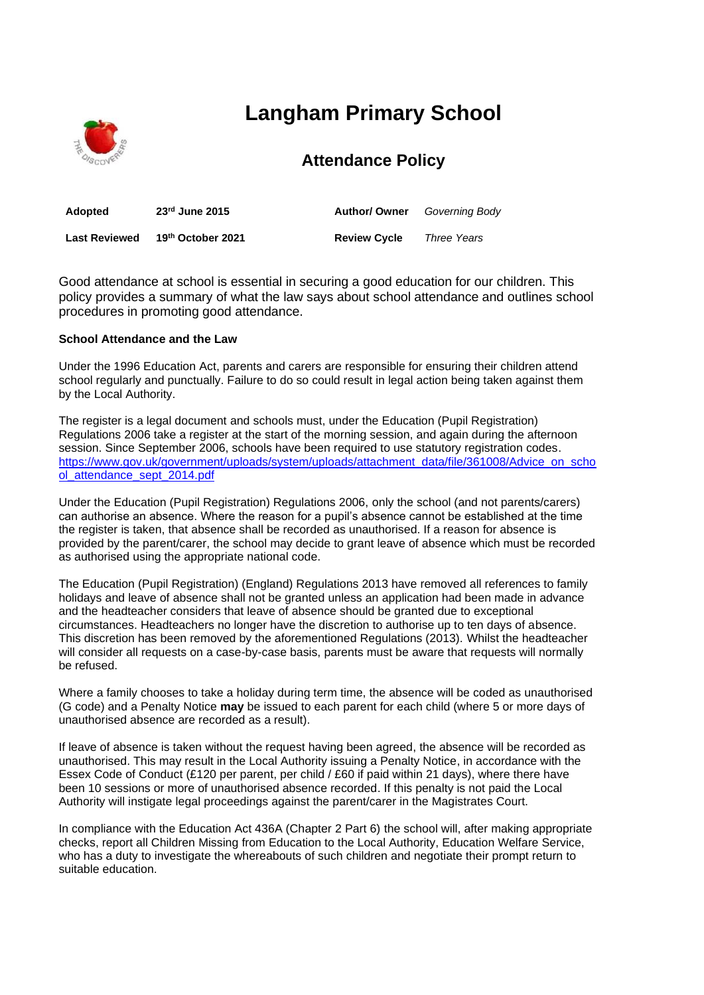

# **Langham Primary School**

## **Attendance Policy**

| <b>Adopted</b>       | $23rd$ June 2015  | <b>Author/ Owner</b> | Governing Body     |
|----------------------|-------------------|----------------------|--------------------|
| <b>Last Reviewed</b> | 19th October 2021 | <b>Review Cycle</b>  | <b>Three Years</b> |

Good attendance at school is essential in securing a good education for our children. This policy provides a summary of what the law says about school attendance and outlines school procedures in promoting good attendance.

#### **School Attendance and the Law**

Under the 1996 Education Act, parents and carers are responsible for ensuring their children attend school regularly and punctually. Failure to do so could result in legal action being taken against them by the Local Authority.

The register is a legal document and schools must, under the Education (Pupil Registration) Regulations 2006 take a register at the start of the morning session, and again during the afternoon session. Since September 2006, schools have been required to use statutory registration codes. [https://www.gov.uk/government/uploads/system/uploads/attachment\\_data/file/361008/Advice\\_on\\_scho](https://www.gov.uk/government/uploads/system/uploads/attachment_data/file/361008/Advice_on_school_attendance_sept_2014.pdf) [ol\\_attendance\\_sept\\_2014.pdf](https://www.gov.uk/government/uploads/system/uploads/attachment_data/file/361008/Advice_on_school_attendance_sept_2014.pdf)

Under the Education (Pupil Registration) Regulations 2006, only the school (and not parents/carers) can authorise an absence. Where the reason for a pupil's absence cannot be established at the time the register is taken, that absence shall be recorded as unauthorised. If a reason for absence is provided by the parent/carer, the school may decide to grant leave of absence which must be recorded as authorised using the appropriate national code.

The Education (Pupil Registration) (England) Regulations 2013 have removed all references to family holidays and leave of absence shall not be granted unless an application had been made in advance and the headteacher considers that leave of absence should be granted due to exceptional circumstances. Headteachers no longer have the discretion to authorise up to ten days of absence. This discretion has been removed by the aforementioned Regulations (2013). Whilst the headteacher will consider all requests on a case-by-case basis, parents must be aware that requests will normally be refused.

Where a family chooses to take a holiday during term time, the absence will be coded as unauthorised (G code) and a Penalty Notice **may** be issued to each parent for each child (where 5 or more days of unauthorised absence are recorded as a result).

If leave of absence is taken without the request having been agreed, the absence will be recorded as unauthorised. This may result in the Local Authority issuing a Penalty Notice, in accordance with the Essex Code of Conduct (£120 per parent, per child / £60 if paid within 21 days), where there have been 10 sessions or more of unauthorised absence recorded. If this penalty is not paid the Local Authority will instigate legal proceedings against the parent/carer in the Magistrates Court.

In compliance with the Education Act 436A (Chapter 2 Part 6) the school will, after making appropriate checks, report all Children Missing from Education to the Local Authority, Education Welfare Service, who has a duty to investigate the whereabouts of such children and negotiate their prompt return to suitable education.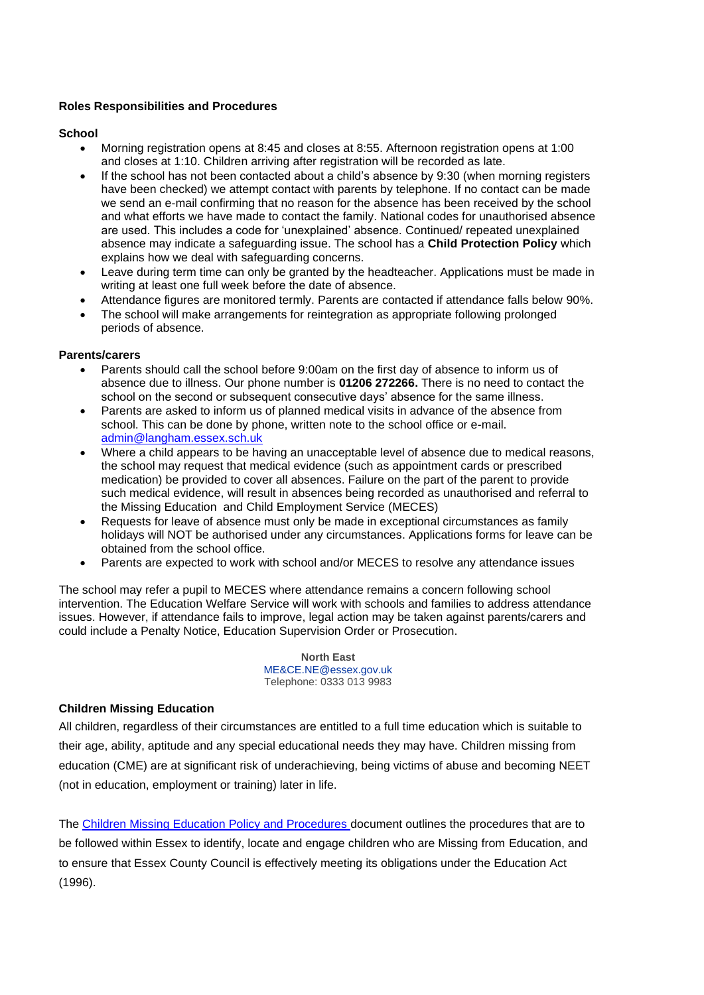#### **Roles Responsibilities and Procedures**

#### **School**

- Morning registration opens at 8:45 and closes at 8:55. Afternoon registration opens at 1:00 and closes at 1:10. Children arriving after registration will be recorded as late.
- If the school has not been contacted about a child's absence by 9:30 (when morning registers have been checked) we attempt contact with parents by telephone. If no contact can be made we send an e-mail confirming that no reason for the absence has been received by the school and what efforts we have made to contact the family. National codes for unauthorised absence are used. This includes a code for 'unexplained' absence. Continued/ repeated unexplained absence may indicate a safeguarding issue. The school has a **Child Protection Policy** which explains how we deal with safeguarding concerns.
- Leave during term time can only be granted by the headteacher. Applications must be made in writing at least one full week before the date of absence.
- Attendance figures are monitored termly. Parents are contacted if attendance falls below 90%.
- The school will make arrangements for reintegration as appropriate following prolonged periods of absence.

#### **Parents/carers**

- Parents should call the school before 9:00am on the first day of absence to inform us of absence due to illness. Our phone number is **01206 272266.** There is no need to contact the school on the second or subsequent consecutive days' absence for the same illness.
- Parents are asked to inform us of planned medical visits in advance of the absence from school. This can be done by phone, written note to the school office or e-mail. [admin@langham.essex.sch.uk](mailto:admin@langham.essex.sch.uk)
- Where a child appears to be having an unacceptable level of absence due to medical reasons, the school may request that medical evidence (such as appointment cards or prescribed medication) be provided to cover all absences. Failure on the part of the parent to provide such medical evidence, will result in absences being recorded as unauthorised and referral to the Missing Education and Child Employment Service (MECES)
- Requests for leave of absence must only be made in exceptional circumstances as family holidays will NOT be authorised under any circumstances. Applications forms for leave can be obtained from the school office.
- Parents are expected to work with school and/or MECES to resolve any attendance issues

The school may refer a pupil to MECES where attendance remains a concern following school intervention. The Education Welfare Service will work with schools and families to address attendance issues. However, if attendance fails to improve, legal action may be taken against parents/carers and could include a Penalty Notice, Education Supervision Order or Prosecution.

> **North East** [ME&CE.NE@essex.gov.uk](mailto:ME%26CE.NE@essex.gov.uk) Telephone: 0333 013 9983

### **Children Missing Education**

All children, regardless of their circumstances are entitled to a full time education which is suitable to their age, ability, aptitude and any special educational needs they may have. Children missing from education (CME) are at significant risk of underachieving, being victims of abuse and becoming NEET (not in education, employment or training) later in life.

The [Children Missing Education Policy and Procedures d](https://schools.essex.gov.uk/pupils/Education_Access/Documents/Education%20Access%20-%20CME%20and%20EHE%20Team%20-%20Policy%20and%20Practice%20Guidance%20document.pdf)ocument outlines the procedures that are to be followed within Essex to identify, locate and engage children who are Missing from Education, and to ensure that Essex County Council is effectively meeting its obligations under the Education Act (1996).